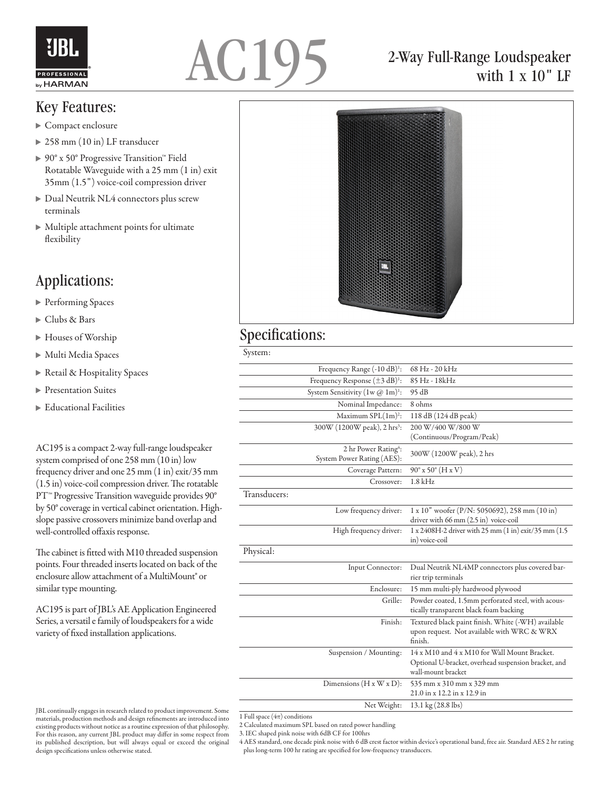



## Key Features:

- $\blacktriangleright$  Compact enclosure
- 258 mm (10 in) LF transducer
- 90° x 50° Progressive Transition™ Field Rotatable Waveguide with a 25 mm (1 in) exit 35mm (1.5") voice-coil compression driver
- Dual Neutrik NL4 connectors plus screw terminals
- Multiple attachment points for ultimate flexibility

## Applications:

- ▶ Performing Spaces
- Clubs & Bars
- Houses of Worship
- Multi Media Spaces
- Retail & Hospitality Spaces
- **Presentation Suites**
- ▶ Educational Facilities

AC195 is a compact 2-way full-range loudspeaker system comprised of one 258 mm (10 in) low frequency driver and one 25 mm (1 in) exit/35 mm (1.5 in) voice-coil compression driver. The rotatable PT<sup>™</sup> Progressive Transition waveguide provides 90<sup>°</sup> by 50° coverage in vertical cabinet orientation. Highslope passive crossovers minimize band overlap and well-controlled offaxis response.

The cabinet is fitted with M10 threaded suspension points. Four threaded inserts located on back of the enclosure allow attachment of a MultiMount® or similar type mounting.

AC195 is part of JBL's AE Application Engineered Series, a versatil e family of loudspeakers for a wide variety of fixed installation applications.



with 1 x 10" LF

## Specifications:

| ٧<br>٠<br>٠<br>×<br>×<br>×<br>I |  |
|---------------------------------|--|
|---------------------------------|--|

|              | Frequency Range (-10 dB) <sup>1</sup> :                        | 68 Hz - 20 kHz                                                                                                             |
|--------------|----------------------------------------------------------------|----------------------------------------------------------------------------------------------------------------------------|
|              | Frequency Response $(\pm 3 \text{ dB})^1$ :                    | 85 Hz - 18kHz                                                                                                              |
|              | System Sensitivity $(1w \, \textcircled{a} \, 1m)^1$ :         | 95 dB                                                                                                                      |
|              | Nominal Impedance:                                             | 8 ohms                                                                                                                     |
|              | Maximum SPL(1m) <sup>2</sup> :                                 | 118 dB (124 dB peak)                                                                                                       |
|              | 300W (1200W peak), 2 hrs <sup>3</sup> :                        | 200 W/400 W/800 W                                                                                                          |
|              |                                                                | (Continuous/Program/Peak)                                                                                                  |
|              | 2 hr Power Rating <sup>4</sup> :<br>System Power Rating (AES): | 300W (1200W peak), 2 hrs                                                                                                   |
|              | Coverage Pattern:                                              | $90^{\circ}$ x 50 $^{\circ}$ (H x V)                                                                                       |
|              | Crossover:                                                     | $1.8$ kHz                                                                                                                  |
| Transducers: |                                                                |                                                                                                                            |
|              | Low frequency driver:                                          | 1 x 10" woofer (P/N: 5050692), 258 mm (10 in)<br>driver with 66 mm (2.5 in) voice-coil                                     |
|              | High frequency driver:                                         | $1 \times 2408$ H-2 driver with 25 mm $(1 \text{ in}) \text{ exit}/35$ mm $(1.5 \text{ in})$<br>in) voice-coil             |
| Physical:    |                                                                |                                                                                                                            |
|              | Input Connector:                                               | Dual Neutrik NL4MP connectors plus covered bar-<br>rier trip terminals                                                     |
|              | Enclosure:                                                     | 15 mm multi-ply hardwood plywood                                                                                           |
|              | Grille:                                                        | Powder coated, 1.5mm perforated steel, with acous-<br>tically transparent black foam backing                               |
|              | Finish:                                                        | Textured black paint finish. White (-WH) available<br>upon request. Not available with WRC & WRX<br>finish.                |
|              | Suspension / Mounting:                                         | 14 x M10 and 4 x M10 for Wall Mount Bracket.<br>Optional U-bracket, overhead suspension bracket, and<br>wall-mount bracket |
|              | Dimensions $(H x W x D)$ :                                     | 535 mm x 310 mm x 329 mm<br>21.0 in x 12.2 in x 12.9 in                                                                    |
|              | Net Weight:                                                    | 13.1 kg (28.8 lbs)                                                                                                         |

1 Full space  $(4\pi)$  conditions

- 2 Calculated maximum SPL based on rated power handling
- 3. IEC shaped pink noise with 6dB CF for 100hrs

4 AES standard, one decade pink noise with 6 dB crest factor within device's operational band, free air. Standard AES 2 hr rating plus long-term 100 hr rating are specified for low-frequency transducers.